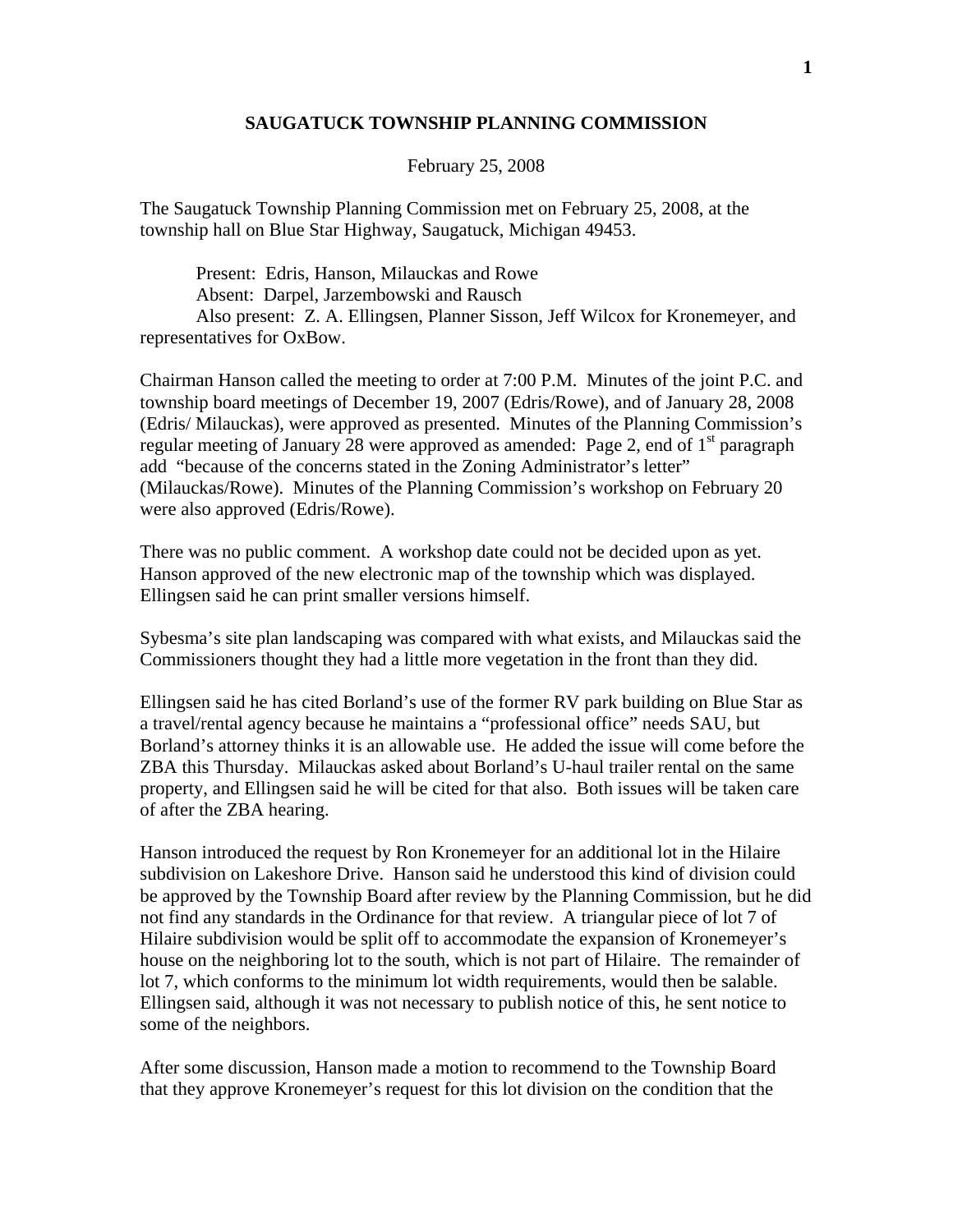## **SAUGATUCK TOWNSHIP PLANNING COMMISSION**

## February 25, 2008

The Saugatuck Township Planning Commission met on February 25, 2008, at the township hall on Blue Star Highway, Saugatuck, Michigan 49453.

 Present: Edris, Hanson, Milauckas and Rowe Absent: Darpel, Jarzembowski and Rausch Also present: Z. A. Ellingsen, Planner Sisson, Jeff Wilcox for Kronemeyer, and representatives for OxBow.

Chairman Hanson called the meeting to order at 7:00 P.M. Minutes of the joint P.C. and township board meetings of December 19, 2007 (Edris/Rowe), and of January 28, 2008 (Edris/ Milauckas), were approved as presented. Minutes of the Planning Commission's regular meeting of January 28 were approved as amended: Page 2, end of 1<sup>st</sup> paragraph add "because of the concerns stated in the Zoning Administrator's letter" (Milauckas/Rowe). Minutes of the Planning Commission's workshop on February 20 were also approved (Edris/Rowe).

There was no public comment. A workshop date could not be decided upon as yet. Hanson approved of the new electronic map of the township which was displayed. Ellingsen said he can print smaller versions himself.

Sybesma's site plan landscaping was compared with what exists, and Milauckas said the Commissioners thought they had a little more vegetation in the front than they did.

Ellingsen said he has cited Borland's use of the former RV park building on Blue Star as a travel/rental agency because he maintains a "professional office" needs SAU, but Borland's attorney thinks it is an allowable use. He added the issue will come before the ZBA this Thursday. Milauckas asked about Borland's U-haul trailer rental on the same property, and Ellingsen said he will be cited for that also. Both issues will be taken care of after the ZBA hearing.

Hanson introduced the request by Ron Kronemeyer for an additional lot in the Hilaire subdivision on Lakeshore Drive. Hanson said he understood this kind of division could be approved by the Township Board after review by the Planning Commission, but he did not find any standards in the Ordinance for that review. A triangular piece of lot 7 of Hilaire subdivision would be split off to accommodate the expansion of Kronemeyer's house on the neighboring lot to the south, which is not part of Hilaire. The remainder of lot 7, which conforms to the minimum lot width requirements, would then be salable. Ellingsen said, although it was not necessary to publish notice of this, he sent notice to some of the neighbors.

After some discussion, Hanson made a motion to recommend to the Township Board that they approve Kronemeyer's request for this lot division on the condition that the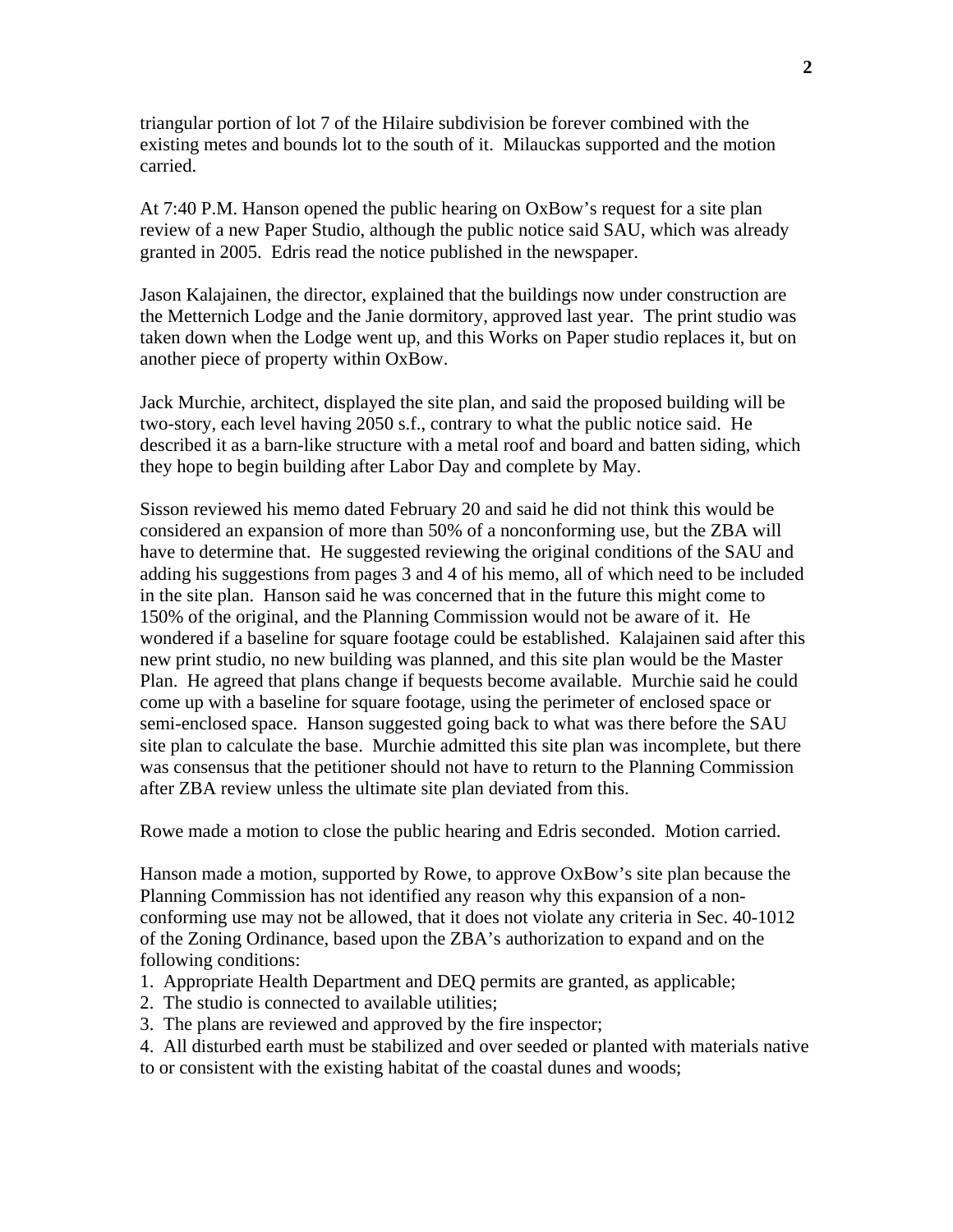triangular portion of lot 7 of the Hilaire subdivision be forever combined with the existing metes and bounds lot to the south of it. Milauckas supported and the motion carried.

At 7:40 P.M. Hanson opened the public hearing on OxBow's request for a site plan review of a new Paper Studio, although the public notice said SAU, which was already granted in 2005. Edris read the notice published in the newspaper.

Jason Kalajainen, the director, explained that the buildings now under construction are the Metternich Lodge and the Janie dormitory, approved last year. The print studio was taken down when the Lodge went up, and this Works on Paper studio replaces it, but on another piece of property within OxBow.

Jack Murchie, architect, displayed the site plan, and said the proposed building will be two-story, each level having 2050 s.f., contrary to what the public notice said. He described it as a barn-like structure with a metal roof and board and batten siding, which they hope to begin building after Labor Day and complete by May.

Sisson reviewed his memo dated February 20 and said he did not think this would be considered an expansion of more than 50% of a nonconforming use, but the ZBA will have to determine that. He suggested reviewing the original conditions of the SAU and adding his suggestions from pages 3 and 4 of his memo, all of which need to be included in the site plan. Hanson said he was concerned that in the future this might come to 150% of the original, and the Planning Commission would not be aware of it. He wondered if a baseline for square footage could be established. Kalajainen said after this new print studio, no new building was planned, and this site plan would be the Master Plan. He agreed that plans change if bequests become available. Murchie said he could come up with a baseline for square footage, using the perimeter of enclosed space or semi-enclosed space. Hanson suggested going back to what was there before the SAU site plan to calculate the base. Murchie admitted this site plan was incomplete, but there was consensus that the petitioner should not have to return to the Planning Commission after ZBA review unless the ultimate site plan deviated from this.

Rowe made a motion to close the public hearing and Edris seconded. Motion carried.

Hanson made a motion, supported by Rowe, to approve OxBow's site plan because the Planning Commission has not identified any reason why this expansion of a nonconforming use may not be allowed, that it does not violate any criteria in Sec. 40-1012 of the Zoning Ordinance, based upon the ZBA's authorization to expand and on the following conditions:

- 1. Appropriate Health Department and DEQ permits are granted, as applicable;
- 2. The studio is connected to available utilities;
- 3. The plans are reviewed and approved by the fire inspector;
- 4. All disturbed earth must be stabilized and over seeded or planted with materials native to or consistent with the existing habitat of the coastal dunes and woods;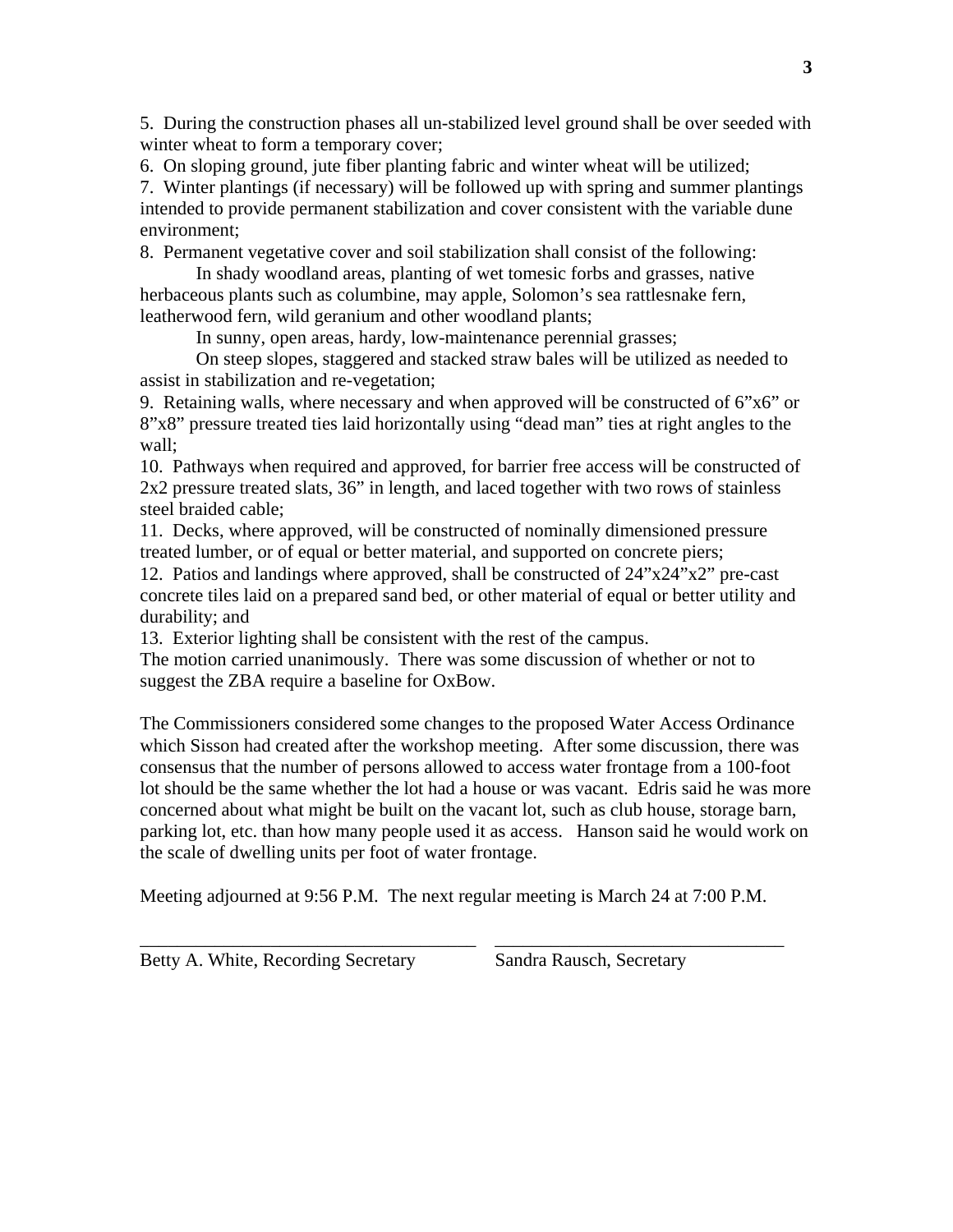5. During the construction phases all un-stabilized level ground shall be over seeded with winter wheat to form a temporary cover;

6. On sloping ground, jute fiber planting fabric and winter wheat will be utilized;

7. Winter plantings (if necessary) will be followed up with spring and summer plantings intended to provide permanent stabilization and cover consistent with the variable dune environment;

8. Permanent vegetative cover and soil stabilization shall consist of the following:

 In shady woodland areas, planting of wet tomesic forbs and grasses, native herbaceous plants such as columbine, may apple, Solomon's sea rattlesnake fern, leatherwood fern, wild geranium and other woodland plants;

In sunny, open areas, hardy, low-maintenance perennial grasses;

 On steep slopes, staggered and stacked straw bales will be utilized as needed to assist in stabilization and re-vegetation;

9. Retaining walls, where necessary and when approved will be constructed of 6"x6" or 8"x8" pressure treated ties laid horizontally using "dead man" ties at right angles to the wall;

10. Pathways when required and approved, for barrier free access will be constructed of 2x2 pressure treated slats, 36" in length, and laced together with two rows of stainless steel braided cable;

11. Decks, where approved, will be constructed of nominally dimensioned pressure treated lumber, or of equal or better material, and supported on concrete piers;

12. Patios and landings where approved, shall be constructed of 24"x24"x2" pre-cast concrete tiles laid on a prepared sand bed, or other material of equal or better utility and durability; and

13. Exterior lighting shall be consistent with the rest of the campus.

The motion carried unanimously. There was some discussion of whether or not to suggest the ZBA require a baseline for OxBow.

The Commissioners considered some changes to the proposed Water Access Ordinance which Sisson had created after the workshop meeting. After some discussion, there was consensus that the number of persons allowed to access water frontage from a 100-foot lot should be the same whether the lot had a house or was vacant. Edris said he was more concerned about what might be built on the vacant lot, such as club house, storage barn, parking lot, etc. than how many people used it as access. Hanson said he would work on the scale of dwelling units per foot of water frontage.

Meeting adjourned at 9:56 P.M. The next regular meeting is March 24 at 7:00 P.M.

\_\_\_\_\_\_\_\_\_\_\_\_\_\_\_\_\_\_\_\_\_\_\_\_\_\_\_\_\_\_\_\_\_\_\_\_ \_\_\_\_\_\_\_\_\_\_\_\_\_\_\_\_\_\_\_\_\_\_\_\_\_\_\_\_\_\_\_

Betty A. White, Recording Secretary Sandra Rausch, Secretary